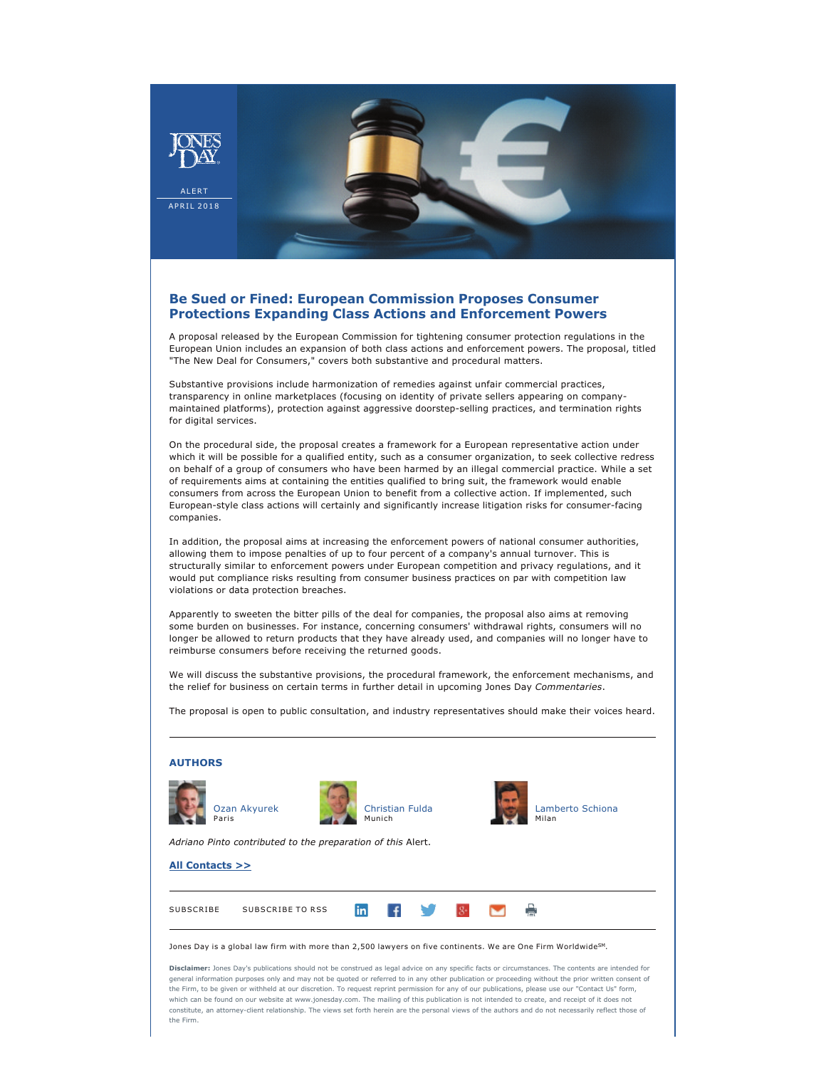

## **Be Sued or Fined: European Commission Proposes Consumer Protections Expanding Class Actions and Enforcement Powers**

A proposal released by the European Commission for tightening consumer protection regulations in the European Union includes an expansion of both class actions and enforcement powers. The proposal, titled "The New Deal for Consumers," covers both substantive and procedural matters.

Substantive provisions include harmonization of remedies against unfair commercial practices, transparency in online marketplaces (focusing on identity of private sellers appearing on companymaintained platforms), protection against aggressive doorstepselling practices, and termination rights for digital services.

On the procedural side, the proposal creates a framework for a European representative action under which it will be possible for a qualified entity, such as a consumer organization, to seek collective redress on behalf of a group of consumers who have been harmed by an illegal commercial practice. While a set of requirements aims at containing the entities qualified to bring suit, the framework would enable consumers from across the European Union to benefit from a collective action. If implemented, such European-style class actions will certainly and significantly increase litigation risks for consumer-facing companies.

In addition, the proposal aims at increasing the enforcement powers of national consumer authorities, allowing them to impose penalties of up to four percent of a company's annual turnover. This is structurally similar to enforcement powers under European competition and privacy regulations, and it would put compliance risks resulting from consumer business practices on par with competition law violations or data protection breaches.

Apparently to sweeten the bitter pills of the deal for companies, the proposal also aims at removing some burden on businesses. For instance, concerning consumers' withdrawal rights, consumers will no longer be allowed to return products that they have already used, and companies will no longer have to reimburse consumers before receiving the returned goods.

We will discuss the substantive provisions, the procedural framework, the enforcement mechanisms, and the relief for business on certain terms in further detail in upcoming Jones Day *Commentaries*.

The proposal is open to public consultation, and industry representatives should make their voices heard.

| <b>AUTHORS</b>                                                                                                                                                                                                                                                                                                                                                                                                                                                                                                                                                                                                                                                                                                                                                                      |  |
|-------------------------------------------------------------------------------------------------------------------------------------------------------------------------------------------------------------------------------------------------------------------------------------------------------------------------------------------------------------------------------------------------------------------------------------------------------------------------------------------------------------------------------------------------------------------------------------------------------------------------------------------------------------------------------------------------------------------------------------------------------------------------------------|--|
| Ozan Akyurek<br>Christian Fulda<br>Lamberto Schiona<br>Milan<br>Paris<br>Munich                                                                                                                                                                                                                                                                                                                                                                                                                                                                                                                                                                                                                                                                                                     |  |
| Adriano Pinto contributed to the preparation of this Alert.                                                                                                                                                                                                                                                                                                                                                                                                                                                                                                                                                                                                                                                                                                                         |  |
| All Contacts >>                                                                                                                                                                                                                                                                                                                                                                                                                                                                                                                                                                                                                                                                                                                                                                     |  |
|                                                                                                                                                                                                                                                                                                                                                                                                                                                                                                                                                                                                                                                                                                                                                                                     |  |
| <b>SUBSCRIBE</b><br>SUBSCRIBE TO RSS<br>linl                                                                                                                                                                                                                                                                                                                                                                                                                                                                                                                                                                                                                                                                                                                                        |  |
| Jones Day is a global law firm with more than 2,500 lawyers on five continents. We are One Firm Worldwide <sup>SM</sup> .                                                                                                                                                                                                                                                                                                                                                                                                                                                                                                                                                                                                                                                           |  |
| Disclaimer: Jones Day's publications should not be construed as legal advice on any specific facts or circumstances. The contents are intended for<br>general information purposes only and may not be quoted or referred to in any other publication or proceeding without the prior written consent of<br>the Firm, to be given or withheld at our discretion. To request reprint permission for any of our publications, please use our "Contact Us" form,<br>which can be found on our website at www.jonesday.com. The mailing of this publication is not intended to create, and receipt of it does not<br>constitute, an attorney-client relationship. The views set forth herein are the personal views of the authors and do not necessarily reflect those of<br>the Firm. |  |